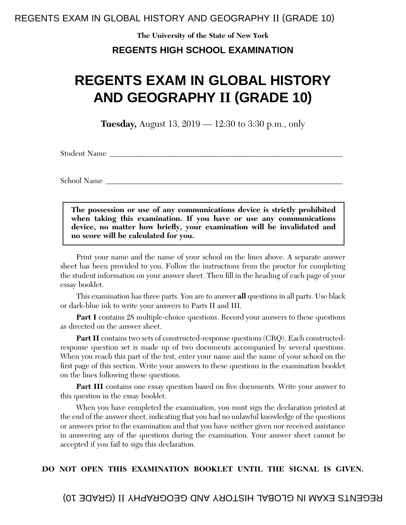#### **The University of the State of New York**

# **REGENTS HIGH SCHOOL EXAMINATION**

# **REGENTS EXAM IN GLOBAL HISTORY AND GEOGRAPHY II (GRADE 10)**

**Tuesday,** August 13, 2019 — 12:30 to 3:30 p.m., only

Student Name

School Name

**The possession or use of any communications device is strictly prohibited when taking this examination. If you have or use any communications**  device, no matter how briefly, your examination will be invalidated and **no score will be calculated for you.**

Print your name and the name of your school on the lines above. A separate answer sheet has been provided to you. Follow the instructions from the proctor for completing the student information on your answer sheet. Then fill in the heading of each page of your essay booklet.

This examination has three parts. You are to answer **all** questions in all parts. Use black or dark-blue ink to write your answers to Parts II and III.

**Part I** contains 28 multiple-choice questions. Record your answers to these questions as directed on the answer sheet.

Part II contains two sets of constructed-response questions (CRQ). Each constructedresponse question set is made up of two documents accompanied by several questions. When you reach this part of the test, enter your name and the name of your school on the first page of this section. Write your answers to these questions in the examination booklet on the lines following these questions.

**Part III** contains one essay question based on five documents. Write your answer to this question in the essay booklet.

When you have completed the examination, you must sign the declaration printed at the end of the answer sheet, indicating that you had no unlawful knowledge of the questions or answers prior to the examination and that you have neither given nor received assistance in answering any of the questions during the examination. Your answer sheet cannot be accepted if you fail to sign this declaration.

#### **DO NOT OPEN THIS EXAMINATION BOOKLET UNTIL THE SIGNAL IS GIVEN.**

REGENTS EXAM IN GLOBAL HISTORY AND GEOGRAPHY II (GRADE 10)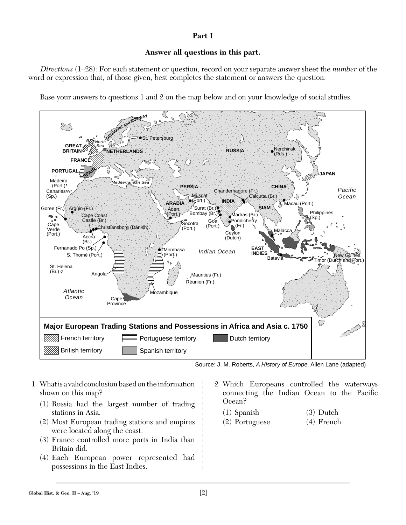# **Part I**

# **Answer all questions in this part.**

*Directions* (1–28): For each statement or question, record on your separate answer sheet the *number* of the word or expression that, of those given, best completes the statement or answers the question.

Base your answers to questions 1 and 2 on the map below and on your knowledge of social studies.



Source: J. M. Roberts, *A History of Europe,* Allen Lane (adapted)

- 1 What is a valid conclusion based on the information shown on this map?
	- (1) Russia had the largest number of trading stations in Asia.
	- (2) Most European trading stations and empires were located along the coast.
	- (3) France controlled more ports in India than Britain did.
	- (4) Each European power represented had possessions in the East Indies.
- 2 Which Europeans controlled the waterways connecting the Indian Ocean to the Pacific Ocean?
	- (1) Spanish (3) Dutch
	- (2) Portuguese (4) French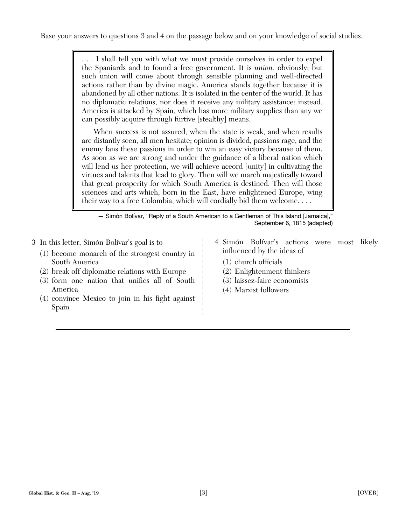Base your answers to questions 3 and 4 on the passage below and on your knowledge of social studies.

. . . I shall tell you with what we must provide ourselves in order to expel the Spaniards and to found a free government. It is *union*, obviously; but such union will come about through sensible planning and well-directed actions rather than by divine magic. America stands together because it is abandoned by all other nations. It is isolated in the center of the world. It has no diplomatic relations, nor does it receive any military assistance; instead, America is attacked by Spain, which has more military supplies than any we can possibly acquire through furtive [stealthy] means.

When success is not assured, when the state is weak, and when results are distantly seen, all men hesitate; opinion is divided, passions rage, and the enemy fans these passions in order to win an easy victory because of them. As soon as we are strong and under the guidance of a liberal nation which will lend us her protection, we will achieve accord [unity] in cultivating the virtues and talents that lead to glory. Then will we march majestically toward that great prosperity for which South America is destined. Then will those sciences and arts which, born in the East, have enlightened Europe, wing their way to a free Colombia, which will cordially bid them welcome. . . .

— Simón Bolívar, "Reply of a South American to a Gentleman of This Island [Jamaica]," September 6, 1815 (adapted)

- 3 In this letter, Simón Bolívar's goal is to
	- (1) become monarch of the strongest country in South America
	- (2) break off diplomatic relations with Europe
	- $(3)$  form one nation that unifies all of South America
	- $(4)$  convince Mexico to join in his fight against Spain
- 4 Simón Bolívar's actions were most likely influenced by the ideas of
	- $(1)$  church officials
	- (2) Enlightenment thinkers
	- (3) laissez-faire economists
	- (4) Marxist followers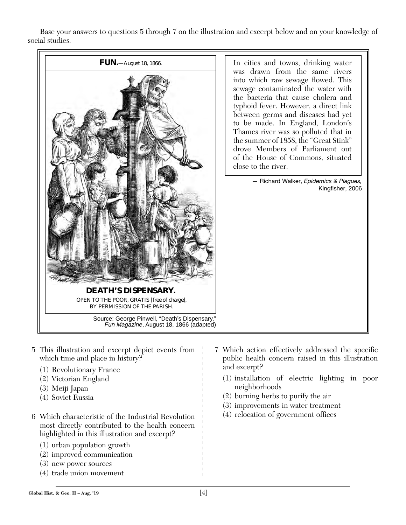Base your answers to questions 5 through 7 on the illustration and excerpt below and on your knowledge of social studies.



- 5 This illustration and excerpt depict events from which time and place in history?
	- (1) Revolutionary France
	- (2) Victorian England
	- (3) Meiji Japan
	- (4) Soviet Russia
- 6 Which characteristic of the Industrial Revolution most directly contributed to the health concern highlighted in this illustration and excerpt?
	- (1) urban population growth
	- (2) improved communication
	- (3) new power sources
	- (4) trade union movement
- 7 Which action effectively addressed the specific public health concern raised in this illustration and excerpt?
	- (1) installation of electric lighting in poor neighborhoods
	- (2) burning herbs to purify the air
	- (3) improvements in water treatment
	- $(4)$  relocation of government offices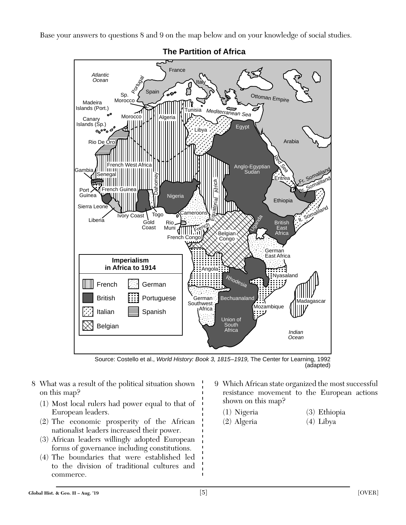Base your answers to questions 8 and 9 on the map below and on your knowledge of social studies.



**The Partition of Africa**

- Source: Costello et al., *World History: Book 3, 1815–1919,* The Center for Learning, 1992 (adapted)
- 8 What was a result of the political situation shown on this map?
	- (1) Most local rulers had power equal to that of European leaders.
	- (2) The economic prosperity of the African nationalist leaders increased their power.
	- (3) African leaders willingly adopted European forms of governance including constitutions.
	- (4) The boundaries that were established led to the division of traditional cultures and commerce.
- 9 Which African state organized the most successful resistance movement to the European actions shown on this map?
	- (1) Nigeria (3) Ethiopia

(2) Algeria (4) Libya

- -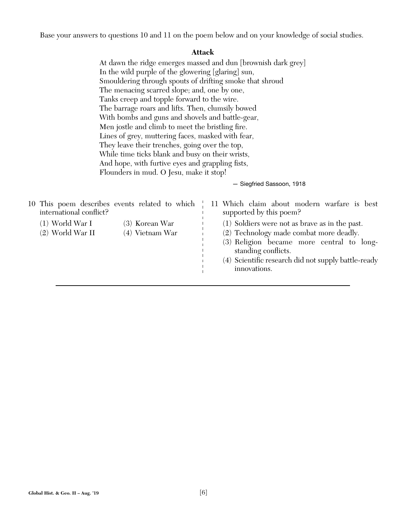Base your answers to questions 10 and 11 on the poem below and on your knowledge of social studies.

# **Attack**

At dawn the ridge emerges massed and dun [brownish dark grey] In the wild purple of the glowering [glaring] sun, Smouldering through spouts of drifting smoke that shroud The menacing scarred slope; and, one by one, Tanks creep and topple forward to the wire. The barrage roars and lifts. Then, clumsily bowed With bombs and guns and shovels and battle-gear, Men jostle and climb to meet the bristling fire. Lines of grey, muttering faces, masked with fear, They leave their trenches, going over the top, While time ticks blank and busy on their wrists, And hope, with furtive eyes and grappling fists, Flounders in mud. O Jesu, make it stop!

#### — Siegfried Sassoon, 1918

|  | 10 This poem describes events related to which |  |  |
|--|------------------------------------------------|--|--|
|  | international conflict?                        |  |  |

- (1) World War I (3) Korean War
- (2) World War II (4) Vietnam War
- 11 Which claim about modern warfare is best supported by this poem?
	- (1) Soldiers were not as brave as in the past.
	- (2) Technology made combat more deadly.
	- (3) Religion became more central to longstanding conflicts.
	- $(4)$  Scientific research did not supply battle-ready innovations.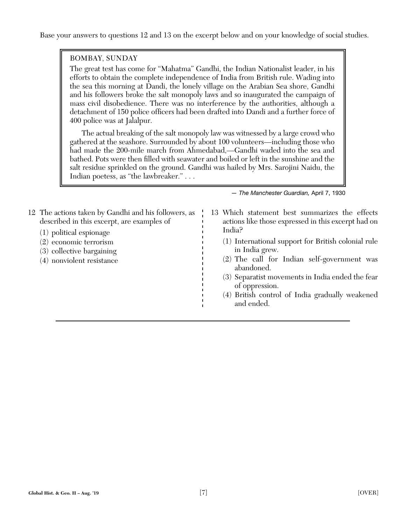Base your answers to questions 12 and 13 on the excerpt below and on your knowledge of social studies.

# BOMBAY, SUNDAY

The great test has come for "Mahatma" Gandhi, the Indian Nationalist leader, in his efforts to obtain the complete independence of India from British rule. Wading into the sea this morning at Dandi, the lonely village on the Arabian Sea shore, Gandhi and his followers broke the salt monopoly laws and so inaugurated the campaign of mass civil disobedience. There was no interference by the authorities, although a detachment of 150 police officers had been drafted into Dandi and a further force of 400 police was at Jalalpur.

The actual breaking of the salt monopoly law was witnessed by a large crowd who gathered at the seashore. Surrounded by about 100 volunteers—including those who had made the 200-mile march from Ahmedabad,—Gandhi waded into the sea and bathed. Pots were then filled with seawater and boiled or left in the sunshine and the salt residue sprinkled on the ground. Gandhi was hailed by Mrs. Sarojini Naidu, the Indian poetess, as "the lawbreaker."...

— *The Manchester Guardian,* April 7, 1930

- 12 The actions taken by Gandhi and his followers, as described in this excerpt, are examples of
	- (1) political espionage
	- (2) economic terrorism
	- (3) collective bargaining
	- (4) nonviolent resistance
- 13 Which statement best summarizes the effects actions like those expressed in this excerpt had on India?
	- (1) International support for British colonial rule in India grew.
	- (2) The call for Indian self-government was abandoned.
	- (3) Separatist movements in India ended the fear of oppression.
	- (4) British control of India gradually weakened and ended.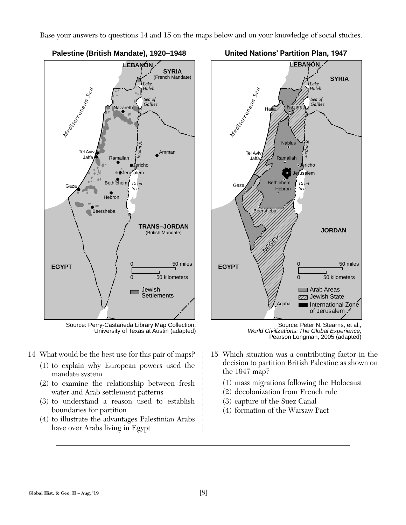Base your answers to questions 14 and 15 on the maps below and on your knowledge of social studies.



Source: Perry-Castañeda Library Map Collection, University of Texas at Austin (adapted)

- 14 What would be the best use for this pair of maps?
	- (1) to explain why European powers used the mandate system
	- (2) to examine the relationship between fresh water and Arab settlement patterns
	- (3) to understand a reason used to establish boundaries for partition
	- (4) to illustrate the advantages Palestinian Arabs have over Arabs living in Egypt



**United Nations' Partition Plan, 1947** 

Source: Peter N. Stearns, et al., *World Civilizations: The Global Experience,* Pearson Longman, 2005 (adapted)

- 15 Which situation was a contributing factor in the decision to partition British Palestine as shown on the 1947 map?
	- (1) mass migrations following the Holocaust
	- (2) decolonization from French rule
	- (3) capture of the Suez Canal
	- (4) formation of the Warsaw Pact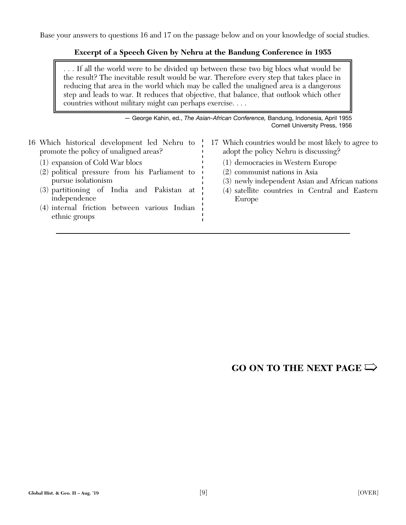Base your answers to questions 16 and 17 on the passage below and on your knowledge of social studies.

# **Excerpt of a Speech Given by Nehru at the Bandung Conference in 1955**

. . . If all the world were to be divided up between these two big blocs what would be the result? The inevitable result would be war. Therefore every step that takes place in reducing that area in the world which may be called the unaligned area is a dangerous step and leads to war. It reduces that objective, that balance, that outlook which other countries without military might can perhaps exercise. . . .

> — George Kahin, ed., *The Asian-African Conference,* Bandung, Indonesia, April 1955 Cornell University Press, 1956

- 16 Which historical development led Nehru to promote the policy of unaligned areas?
	- (1) expansion of Cold War blocs
	- (2) political pressure from his Parliament to pursue isolationism
	- (3) partitioning of India and Pakistan at independence
	- (4) internal friction between various Indian ethnic groups
- 17 Which countries would be most likely to agree to adopt the policy Nehru is discussing?
	- (1) democracies in Western Europe
	- (2) communist nations in Asia
	- (3) newly independent Asian and African nations
	- (4) satellite countries in Central and Eastern Europe

# **GO ON TO THE NEXT PAGE**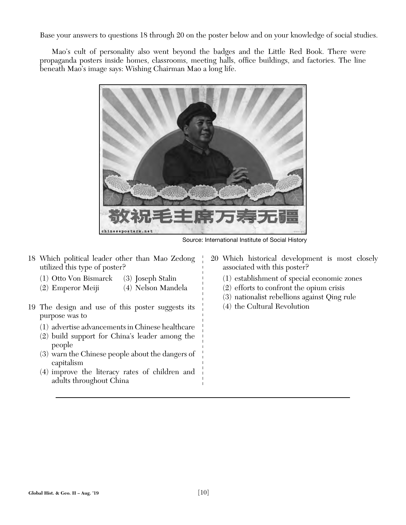Base your answers to questions 18 through 20 on the poster below and on your knowledge of social studies.

Mao's cult of personality also went beyond the badges and the Little Red Book. There were propaganda posters inside homes, classrooms, meeting halls, office buildings, and factories. The line beneath Mao's image says: Wishing Chairman Mao a long life.



Source: International Institute of Social History

- 18 Which political leader other than Mao Zedong utilized this type of poster?
	- (1) Otto Von Bismarck (3) Joseph Stalin
	- (2) Emperor Meiji (4) Nelson Mandela
- 19 The design and use of this poster suggests its purpose was to
	- (1) advertise advancements in Chinese healthcare
	- (2) build support for China's leader among the people
	- (3) warn the Chinese people about the dangers of capitalism
	- (4) improve the literacy rates of children and adults throughout China
- 20 Which historical development is most closely associated with this poster?
	- (1) establishment of special economic zones
	- (2) efforts to confront the opium crisis
	- (3) nationalist rebellions against Qing rule
	- (4) the Cultural Revolution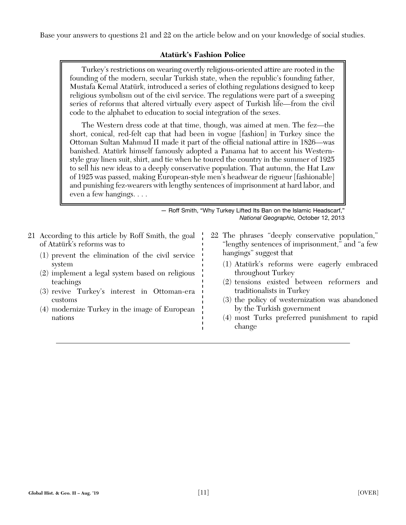Base your answers to questions 21 and 22 on the article below and on your knowledge of social studies.

# **Atatürk's Fashion Police**

Turkey's restrictions on wearing overtly religious-oriented attire are rooted in the founding of the modern, secular Turkish state, when the republic's founding father, Mustafa Kemal Atatürk, introduced a series of clothing regulations designed to keep religious symbolism out of the civil service. The regulations were part of a sweeping series of reforms that altered virtually every aspect of Turkish life—from the civil code to the alphabet to education to social integration of the sexes.

The Western dress code at that time, though, was aimed at men. The fez—the short, conical, red-felt cap that had been in vogue [fashion] in Turkey since the Ottoman Sultan Mahmud II made it part of the official national attire in 1826—was banished. Atatürk himself famously adopted a Panama hat to accent his Westernstyle gray linen suit, shirt, and tie when he toured the country in the summer of 1925 to sell his new ideas to a deeply conservative population. That autumn, the Hat Law of 1925 was passed, making European-style men's headwear de rigueur [fashionable] and punishing fez-wearers with lengthy sentences of imprisonment at hard labor, and even a few hangings. . . .

> — Roff Smith, "Why Turkey Lifted Its Ban on the Islamic Headscarf," *National Geographic,* October 12, 2013

- 21 According to this article by Roff Smith, the goal of Atatürk's reforms was to
	- (1) prevent the elimination of the civil service system
	- (2) implement a legal system based on religious teachings
	- (3) revive Turkey's interest in Ottoman-era customs
	- (4) modernize Turkey in the image of European nations
- 22 The phrases "deeply conservative population," "lengthy sentences of imprisonment," and "a few hangings" suggest that
	- (1) Atatürk's reforms were eagerly embraced throughout Turkey
	- (2) tensions existed between reformers and traditionalists in Turkey
	- (3) the policy of westernization was abandoned by the Turkish government
	- (4) most Turks preferred punishment to rapid change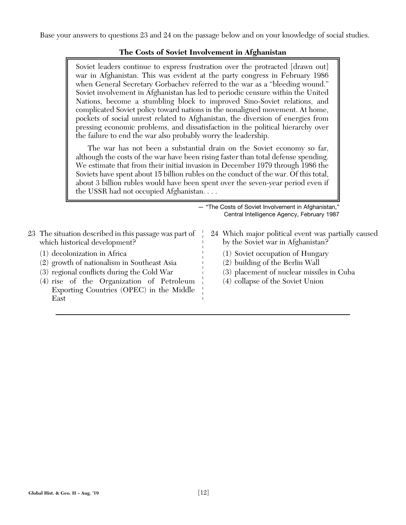Base your answers to questions 23 and 24 on the passage below and on your knowledge of social studies.

#### **The Costs of Soviet Involvement in Afghanistan**

Soviet leaders continue to express frustration over the protracted [drawn out] war in Afghanistan. This was evident at the party congress in February 1986 when General Secretary Gorbachev referred to the war as a "bleeding wound." Soviet involvement in Afghanistan has led to periodic censure within the United Nations, become a stumbling block to improved Sino-Soviet relations, and complicated Soviet policy toward nations in the nonaligned movement. At home, pockets of social unrest related to Afghanistan, the diversion of energies from pressing economic problems, and dissatisfaction in the political hierarchy over the failure to end the war also probably worry the leadership.

The war has not been a substantial drain on the Soviet economy so far, although the costs of the war have been rising faster than total defense spending. We estimate that from their initial invasion in December 1979 through 1986 the Soviets have spent about 15 billion rubles on the conduct of the war. Of this total, about 3 billion rubles would have been spent over the seven-year period even if the USSR had not occupied Afghanistan. . . .

> — "The Costs of Soviet Involvement in Afghanistan," Central Intelligence Agency, February 1987

- 23 The situation described in this passage was part of which historical development?
	- (1) decolonization in Africa
	- (2) growth of nationalism in Southeast Asia
	- $(3)$  regional conflicts during the Cold War
	- (4) rise of the Organization of Petroleum Exporting Countries (OPEC) in the Middle East
- 24 Which major political event was partially caused by the Soviet war in Afghanistan?
	- (1) Soviet occupation of Hungary
	- (2) building of the Berlin Wall
	- (3) placement of nuclear missiles in Cuba
	- (4) collapse of the Soviet Union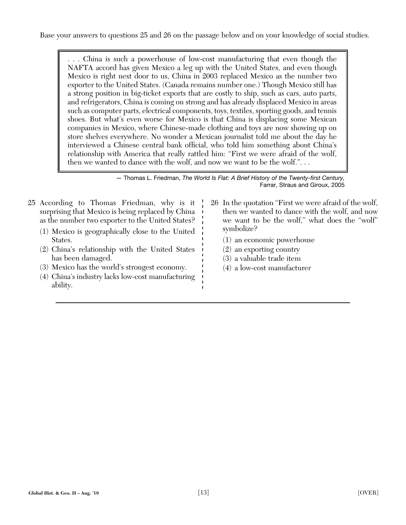Base your answers to questions 25 and 26 on the passage below and on your knowledge of social studies.

. . . China is such a powerhouse of low-cost manufacturing that even though the NAFTA accord has given Mexico a leg up with the United States, and even though Mexico is right next door to us, China in 2003 replaced Mexico as the number two exporter to the United States. (Canada remains number one.) Though Mexico still has a strong position in big-ticket exports that are costly to ship, such as cars, auto parts, and refrigerators, China is coming on strong and has already displaced Mexico in areas such as computer parts, electrical components, toys, textiles, sporting goods, and tennis shoes. But what's even worse for Mexico is that China is displacing some Mexican companies in Mexico, where Chinese-made clothing and toys are now showing up on store shelves everywhere. No wonder a Mexican journalist told me about the day he interviewed a Chinese central bank official, who told him something about China's relationship with America that really rattled him: "First we were afraid of the wolf, then we wanted to dance with the wolf, and now we want to be the wolf.". . .

> $-$  Thomas L. Friedman, *The World Is Flat: A Brief History of the Twenty-first Century*, Farrar, Straus and Giroux, 2005

- 25 According to Thomas Friedman, why is it surprising that Mexico is being replaced by China as the number two exporter to the United States?
	- (1) Mexico is geographically close to the United States.
	- (2) China's relationship with the United States has been damaged.
	- (3) Mexico has the world's strongest economy.
	- (4) China's industry lacks low-cost manufacturing ability.
- 26 In the quotation "First we were afraid of the wolf, then we wanted to dance with the wolf, and now we want to be the wolf," what does the "wolf" symbolize?
	- (1) an economic powerhouse
	- (2) an exporting country
	- (3) a valuable trade item
	- (4) a low-cost manufacturer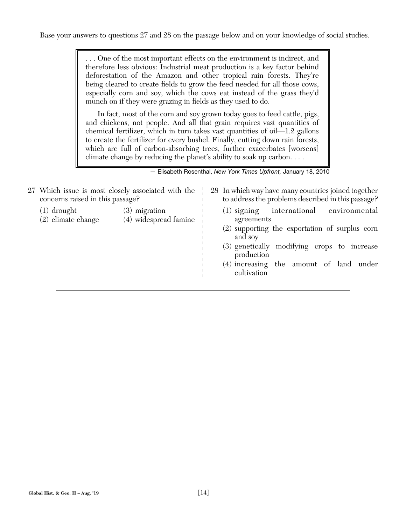Base your answers to questions 27 and 28 on the passage below and on your knowledge of social studies.

. . . One of the most important effects on the environment is indirect, and therefore less obvious: Industrial meat production is a key factor behind deforestation of the Amazon and other tropical rain forests. They're being cleared to create fields to grow the feed needed for all those cows, especially corn and soy, which the cows eat instead of the grass they'd munch on if they were grazing in fields as they used to do.

In fact, most of the corn and soy grown today goes to feed cattle, pigs, and chickens, not people. And all that grain requires vast quantities of chemical fertilizer, which in turn takes vast quantities of oil—1.2 gallons to create the fertilizer for every bushel. Finally, cutting down rain forests, which are full of carbon-absorbing trees, further exacerbates [worsens] climate change by reducing the planet's ability to soak up carbon. . . .

— Elisabeth Rosenthal, *New York Times Upfront,* January 18, 2010

- 27 Which issue is most closely associated with the concerns raised in this passage?
	- (1) drought (3) migration
	- (2) climate change (4) widespread famine
- 28 In which way have many countries joined together to address the problems described in this passage?
	- (1) signing international environmental agreements
	- (2) supporting the exportation of surplus corn and soy
	- (3) genetically modifying crops to increase production
	- (4) increasing the amount of land under cultivation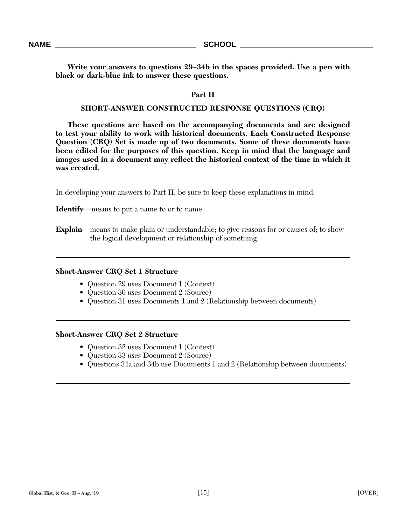**Write your answers to questions 29–34b in the spaces provided. Use a pen with black or dark-blue ink to answer these questions.**

# **Part II**

#### **SHORT-ANSWER CONSTRUCTED RESPONSE QUESTIONS (CRQ)**

**These questions are based on the accompanying documents and are designed to test your ability to work with historical documents. Each Constructed Response Question (CRQ) Set is made up of two documents. Some of these documents have been edited for the purposes of this question. Keep in mind that the language and**  images used in a document may reflect the historical context of the time in which it **was created.**

In developing your answers to Part II, be sure to keep these explanations in mind:

**Identify**—means to put a name to or to name.

**Explain**—means to make plain or understandable; to give reasons for or causes of; to show the logical development or relationship of something.

#### **Short-Answer CRQ Set 1 Structure**

- Question 29 uses Document 1 (Context)
- Question 30 uses Document 2 (Source)
- Question 31 uses Documents 1 and 2 (Relationship between documents)

#### **Short-Answer CRQ Set 2 Structure**

- Question 32 uses Document 1 (Context)
- Question 33 uses Document 2 (Source)
- Questions 34a and 34b use Documents 1 and 2 (Relationship between documents)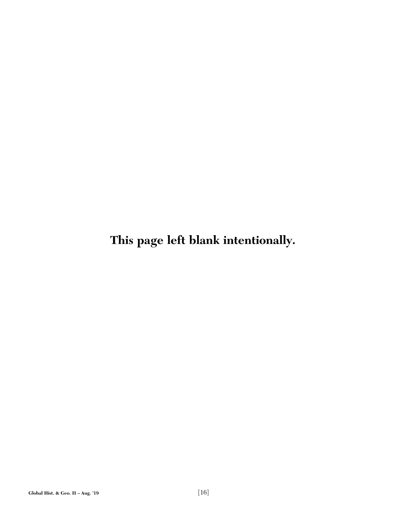**This page left blank intentionally.**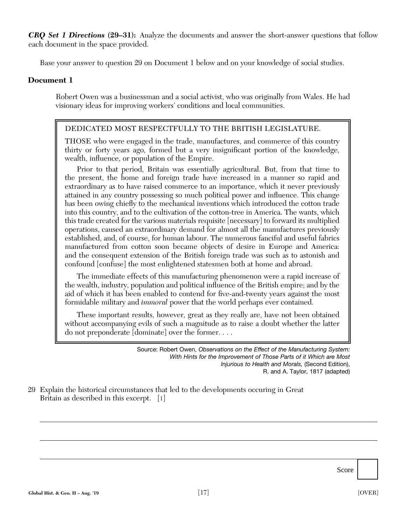*CRQ Set 1 Directions* (29–31): Analyze the documents and answer the short-answer questions that follow each document in the space provided.

Base your answer to question 29 on Document 1 below and on your knowledge of social studies.

# **Document 1**

Robert Owen was a businessman and a social activist, who was originally from Wales. He had visionary ideas for improving workers' conditions and local communities.

# DEDICATED MOST RESPECTFULLY TO THE BRITISH LEGISLATURE.

THOSE who were engaged in the trade, manufactures, and commerce of this country thirty or forty years ago, formed but a very insignificant portion of the knowledge, wealth, influence, or population of the Empire.

Prior to that period, Britain was essentially agricultural. But, from that time to the present, the home and foreign trade have increased in a manner so rapid and extraordinary as to have raised commerce to an importance, which it never previously attained in any country possessing so much political power and influence. This change has been owing chiefly to the mechanical inventions which introduced the cotton trade into this country, and to the cultivation of the cotton-tree in America. The wants, which this trade created for the various materials requisite [necessary] to forward its multiplied operations, caused an extraordinary demand for almost all the manufactures previously established, and, of course, for human labour. The numerous fanciful and useful fabrics manufactured from cotton soon became objects of desire in Europe and America: and the consequent extension of the British foreign trade was such as to astonish and confound [confuse] the most enlightened statesmen both at home and abroad.

The immediate effects of this manufacturing phenomenon were a rapid increase of the wealth, industry, population and political influence of the British empire; and by the aid of which it has been enabled to contend for five-and-twenty years against the most formidable military and *immoral* power that the world perhaps ever contained.

These important results, however, great as they really are, have not been obtained without accompanying evils of such a magnitude as to raise a doubt whether the latter do not preponderate [dominate] over the former. . . .

> Source: Robert Owen, *Observations on the Effect of the Manufacturing System: With Hints for the Improvement of Those Parts of it Which are Most Injurious to Health and Morals,* (Second Edition), R. and A. Taylor, 1817 (adapted)

29 Explain the historical circumstances that led to the developments occuring in Great Britain as described in this excerpt. [1]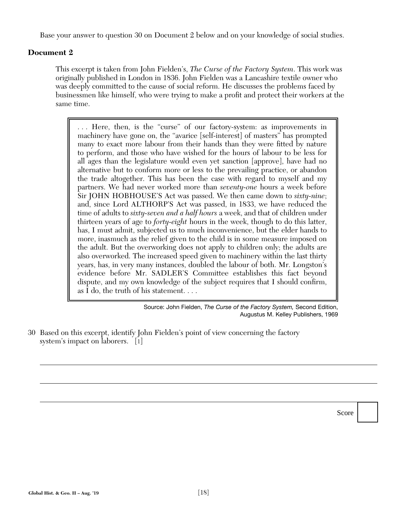Base your answer to question 30 on Document 2 below and on your knowledge of social studies.

# **Document 2**

This excerpt is taken from John Fielden's, *The Curse of the Factory System*. This work was originally published in London in 1836. John Fielden was a Lancashire textile owner who was deeply committed to the cause of social reform. He discusses the problems faced by businessmen like himself, who were trying to make a profit and protect their workers at the same time.

. . . Here, then, is the "curse" of our factory-system: as improvements in machinery have gone on, the "avarice [self-interest] of masters" has prompted many to exact more labour from their hands than they were fitted by nature to perform, and those who have wished for the hours of labour to be less for all ages than the legislature would even yet sanction [approve], have had no alternative but to conform more or less to the prevailing practice, or abandon the trade altogether. This has been the case with regard to myself and my partners. We had never worked more than *seventy-one* hours a week before Sir JOHN HOBHOUSE'S Act was passed. We then came down to *sixty-nine*; and, since Lord ALTHORP'S Act was passed, in 1833, we have reduced the time of adults to *sixty-seven and a half hours* a week, and that of children under thirteen years of age to *forty-eight* hours in the week, though to do this latter, has, I must admit, subjected us to much inconvenience, but the elder hands to more, inasmuch as the relief given to the child is in some measure imposed on the adult. But the overworking does not apply to children only; the adults are also overworked. The increased speed given to machinery within the last thirty years, has, in very many instances, doubled the labour of both. Mr. Longston's evidence before Mr. SADLER'S Committee establishes this fact beyond dispute, and my own knowledge of the subject requires that I should confirm, as I do, the truth of his statement. . . .

> Source: John Fielden, *The Curse of the Factory System,* Second Edition, Augustus M. Kelley Publishers, 1969

30 Based on this excerpt, identify John Fielden's point of view concerning the factory system's impact on laborers. [1]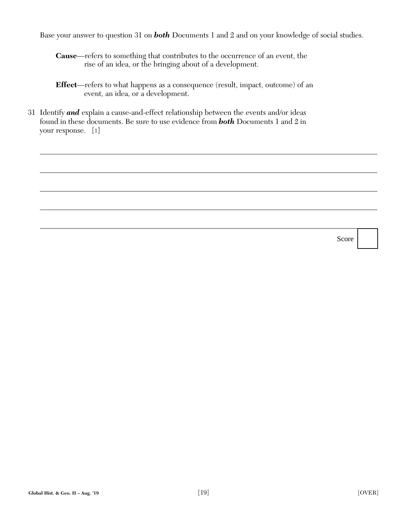Base your answer to question 31 on *both* Documents 1 and 2 and on your knowledge of social studies.

- **Cause**—refers to something that contributes to the occurrence of an event, the rise of an idea, or the bringing about of a development.
- **Effect**—refers to what happens as a consequence (result, impact, outcome) of an event, an idea, or a development.
- 31 Identify *and* explain a cause-and-effect relationship between the events and/or ideas found in these documents. Be sure to use evidence from *both* Documents 1 and 2 in your response. [1]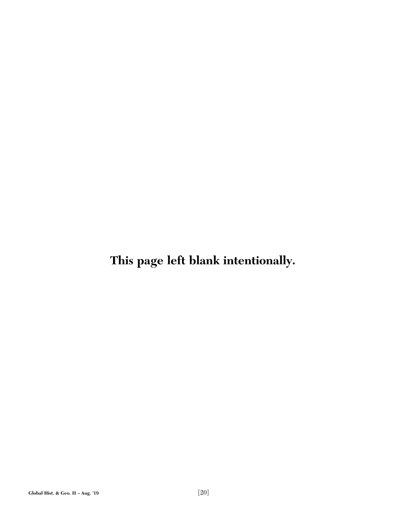**This page left blank intentionally.**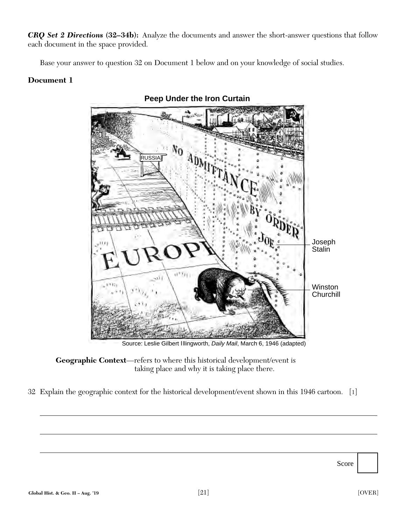*CRQ Set 2 Directions* **(32–34b):** Analyze the documents and answer the short-answer questions that follow each document in the space provided.

Base your answer to question 32 on Document 1 below and on your knowledge of social studies.

**Peep Under the Iron Curtain**

# **Document 1**



Source: Leslie Gilbert Illingworth, *Daily Mail*, March 6, 1946 (adapted)

32 Explain the geographic context for the historical development/event shown in this 1946 cartoon. [1]

**Geographic Context**—refers to where this historical development/event is taking place and why it is taking place there.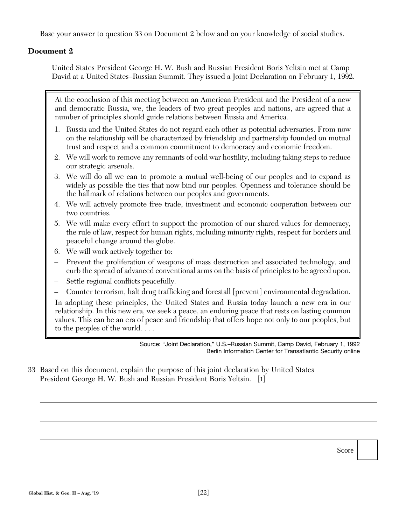Base your answer to question 33 on Document 2 below and on your knowledge of social studies.

# **Document 2**

United States President George H. W. Bush and Russian President Boris Yeltsin met at Camp David at a United States–Russian Summit. They issued a Joint Declaration on February 1, 1992.

At the conclusion of this meeting between an American President and the President of a new and democratic Russia, we, the leaders of two great peoples and nations, are agreed that a number of principles should guide relations between Russia and America.

- 1. Russia and the United States do not regard each other as potential adversaries. From now on the relationship will be characterized by friendship and partnership founded on mutual trust and respect and a common commitment to democracy and economic freedom.
- 2. We will work to remove any remnants of cold war hostility, including taking steps to reduce our strategic arsenals.
- 3. We will do all we can to promote a mutual well-being of our peoples and to expand as widely as possible the ties that now bind our peoples. Openness and tolerance should be the hallmark of relations between our peoples and governments.
- 4. We will actively promote free trade, investment and economic cooperation between our two countries.
- 5. We will make every effort to support the promotion of our shared values for democracy, the rule of law, respect for human rights, including minority rights, respect for borders and peaceful change around the globe.
- 6. We will work actively together to:
- Prevent the proliferation of weapons of mass destruction and associated technology, and curb the spread of advanced conventional arms on the basis of principles to be agreed upon.
- Settle regional conflicts peacefully.
- Counter terrorism, halt drug trafficking and forestall [prevent] environmental degradation.

In adopting these principles, the United States and Russia today launch a new era in our relationship. In this new era, we seek a peace, an enduring peace that rests on lasting common values. This can be an era of peace and friendship that offers hope not only to our peoples, but to the peoples of the world. . . .

> Source: "Joint Declaration," U.S.–Russian Summit, Camp David, February 1, 1992 Berlin Information Center for Transatlantic Security online

33 Based on this document, explain the purpose of this joint declaration by United States President George H. W. Bush and Russian President Boris Yeltsin. [1]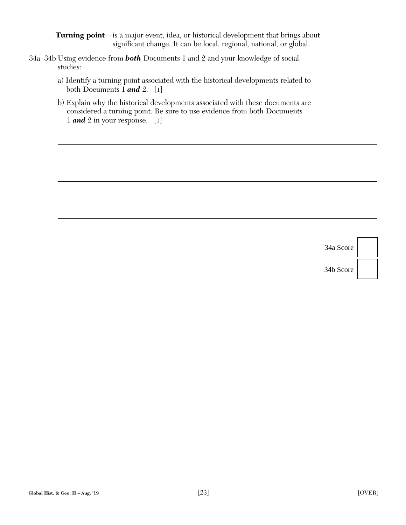**Turning point**—is a major event, idea, or historical development that brings about significant change. It can be local, regional, national, or global.

- 34a–34b Using evidence from *both* Documents 1 and 2 and your knowledge of social studies:
	- a) Identify a turning point associated with the historical developments related to both Documents 1 *and* 2. [1]
	- b) Explain why the historical developments associated with these documents are considered a turning point. Be sure to use evidence from both Documents 1 *and* 2 in your response. [1]

| 34a Score |  |
|-----------|--|
| 34b Score |  |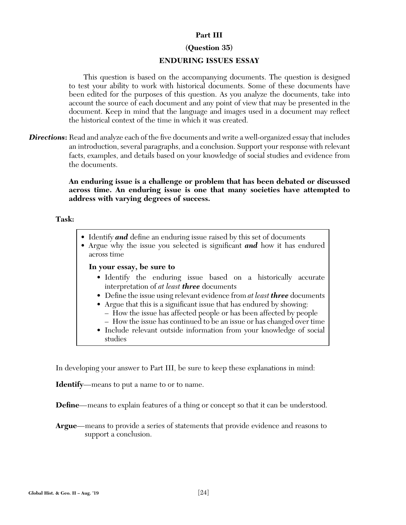#### **Part III**

#### **(Question 35)**

#### **ENDURING ISSUES ESSAY**

This question is based on the accompanying documents. The question is designed to test your ability to work with historical documents. Some of these documents have been edited for the purposes of this question. As you analyze the documents, take into account the source of each document and any point of view that may be presented in the document. Keep in mind that the language and images used in a document may reflect the historical context of the time in which it was created.

**Directions:** Read and analyze each of the five documents and write a well-organized essay that includes an introduction, several paragraphs, and a conclusion. Support your response with relevant facts, examples, and details based on your knowledge of social studies and evidence from the documents.

> **An enduring issue is a challenge or problem that has been debated or discussed across time. An enduring issue is one that many societies have attempted to address with varying degrees of success.**

#### **Task:**

- Identify **and** define an enduring issue raised by this set of documents
- Argue why the issue you selected is significant **and** how it has endured across time

#### **In your essay, be sure to**

- Identify the enduring issue based on a historically accurate interpretation of *at least three* documents
- Define the issue using relevant evidence from *at least three* documents
- Argue that this is a significant issue that has endured by showing:
	- How the issue has affected people or has been affected by people
	- How the issue has continued to be an issue or has changed over time
- Include relevant outside information from your knowledge of social studies

In developing your answer to Part III, be sure to keep these explanations in mind:

**Identify**—means to put a name to or to name.

**Define**—means to explain features of a thing or concept so that it can be understood.

**Argue**—means to provide a series of statements that provide evidence and reasons to support a conclusion.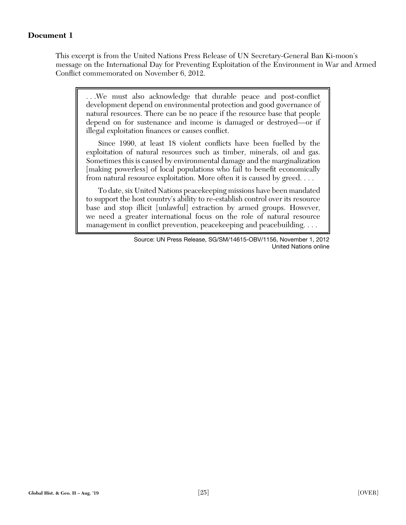This excerpt is from the United Nations Press Release of UN Secretary-General Ban Ki-moon's message on the International Day for Preventing Exploitation of the Environment in War and Armed Conflict commemorated on November 6, 2012.

...We must also acknowledge that durable peace and post-conflict development depend on environmental protection and good governance of natural resources. There can be no peace if the resource base that people depend on for sustenance and income is damaged or destroyed—or if illegal exploitation finances or causes conflict.

Since 1990, at least 18 violent conflicts have been fuelled by the exploitation of natural resources such as timber, minerals, oil and gas. Sometimes this is caused by environmental damage and the marginalization [making powerless] of local populations who fail to benefit economically from natural resource exploitation. More often it is caused by greed. . . .

To date, six United Nations peacekeeping missions have been mandated to support the host country's ability to re-establish control over its resource base and stop illicit [unlawful] extraction by armed groups. However, we need a greater international focus on the role of natural resource management in conflict prevention, peacekeeping and peacebuilding....

> Source: UN Press Release, SG/SM/14615-OBV/1156, November 1, 2012 United Nations online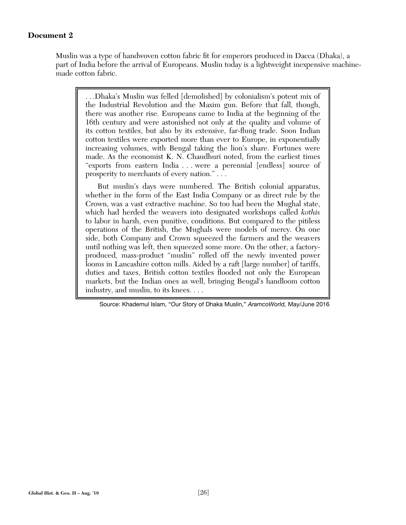Muslin was a type of handwoven cotton fabric fit for emperors produced in Dacca (Dhaka), a part of India before the arrival of Europeans. Muslin today is a lightweight inexpensive machinemade cotton fabric.

. . .Dhaka's Muslin was felled [demolished] by colonialism's potent mix of the Industrial Revolution and the Maxim gun. Before that fall, though, there was another rise. Europeans came to India at the beginning of the 16th century and were astonished not only at the quality and volume of its cotton textiles, but also by its extensive, far-flung trade. Soon Indian cotton textiles were exported more than ever to Europe, in exponentially increasing volumes, with Bengal taking the lion's share. Fortunes were made. As the economist K. N. Chaudhuri noted, from the earliest times "exports from eastern India . . . were a perennial [endless] source of prosperity to merchants of every nation." . . .

But muslin's days were numbered. The British colonial apparatus, whether in the form of the East India Company or as direct rule by the Crown, was a vast extractive machine. So too had been the Mughal state, which had herded the weavers into designated workshops called *kothis* to labor in harsh, even punitive, conditions. But compared to the pitiless operations of the British, the Mughals were models of mercy. On one side, both Company and Crown squeezed the farmers and the weavers until nothing was left, then squeezed some more. On the other, a factoryproduced, mass-product "muslin" rolled off the newly invented power looms in Lancashire cotton mills. Aided by a raft [large number] of tariffs, duties and taxes, British cotton textiles flooded not only the European markets, but the Indian ones as well, bringing Bengal's handloom cotton industry, and muslin, to its knees. . . .

Source: Khademul Islam, "Our Story of Dhaka Muslin," *AramcoWorld,* May/June 2016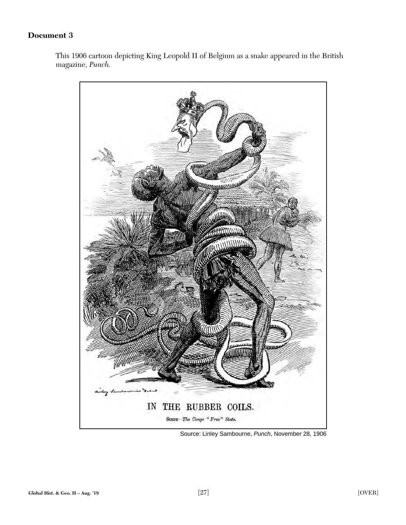This 1906 cartoon depicting King Leopold II of Belgium as a snake appeared in the British magazine, *Punch.*



Source: Linley Sambourne, *Punch*, November 28, 1906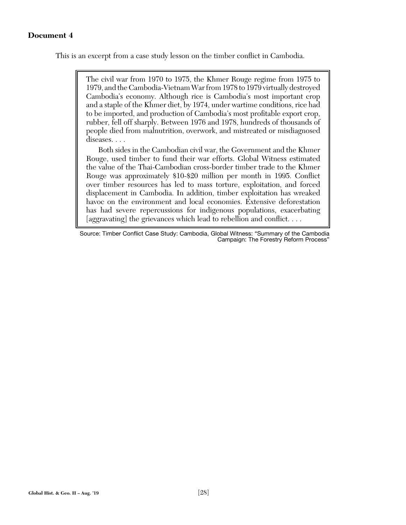This is an excerpt from a case study lesson on the timber conflict in Cambodia.

The civil war from 1970 to 1975, the Khmer Rouge regime from 1975 to 1979, and the Cambodia-Vietnam War from 1978 to 1979 virtually destroyed Cambodia's economy. Although rice is Cambodia's most important crop and a staple of the Khmer diet, by 1974, under wartime conditions, rice had to be imported, and production of Cambodia's most profitable export crop, rubber, fell off sharply. Between 1976 and 1978, hundreds of thousands of people died from malnutrition, overwork, and mistreated or misdiagnosed diseases. . . .

Both sides in the Cambodian civil war, the Government and the Khmer Rouge, used timber to fund their war efforts. Global Witness estimated the value of the Thai-Cambodian cross-border timber trade to the Khmer Rouge was approximately \$10-\$20 million per month in 1995. Conflict over timber resources has led to mass torture, exploitation, and forced displacement in Cambodia. In addition, timber exploitation has wreaked havoc on the environment and local economies. Extensive deforestation has had severe repercussions for indigenous populations, exacerbating [aggravating] the grievances which lead to rebellion and conflict....

Source: Timber Conflict Case Study: Cambodia, Global Witness: "Summary of the Cambodia Campaign: The Forestry Reform Process"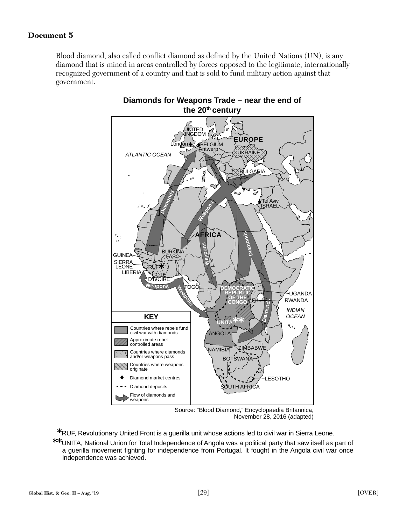Blood diamond, also called conflict diamond as defined by the United Nations (UN), is any diamond that is mined in areas controlled by forces opposed to the legitimate, internationally recognized government of a country and that is sold to fund military action against that government.



**Diamonds for Weapons Trade – near the end of the 20th century**

Source: "Blood Diamond," Encyclopaedia Britannica, November 28, 2016 (adapted)

**\***RUF, Revolutionary United Front is a guerilla unit whose actions led to civil war in Sierra Leone.

**\***UNITA, National Union for Total Independence of Angola was a political party that saw itself as part of **\*** a guerilla movement fighting for independence from Portugal. It fought in the Angola civil war once independence was achieved.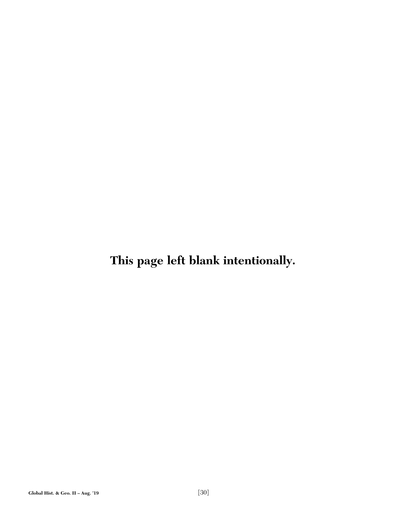**This page left blank intentionally.**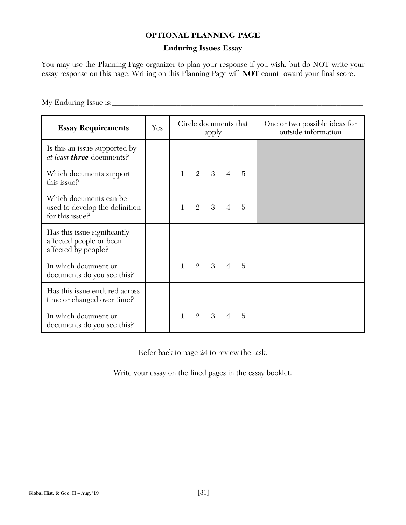# **OPTIONAL PLANNING PAGE**

#### **Enduring Issues Essay**

You may use the Planning Page organizer to plan your response if you wish, but do NOT write your essay response on this page. Writing on this Planning Page will **NOT** count toward your final score.

My Enduring Issue is:\_\_\_\_\_\_\_\_\_\_\_\_\_\_\_\_\_\_\_\_\_\_\_\_\_\_\_\_\_\_\_\_\_\_\_\_\_\_\_\_\_\_\_\_\_\_\_\_\_\_\_\_\_\_\_\_\_\_\_\_\_\_\_\_\_\_

| <b>Essay Requirements</b>                                                      | Yes | Circle documents that<br>apply |                        |   |                |                | One or two possible ideas for<br>outside information |
|--------------------------------------------------------------------------------|-----|--------------------------------|------------------------|---|----------------|----------------|------------------------------------------------------|
| Is this an issue supported by<br><i>at least three</i> documents?              |     |                                |                        |   |                |                |                                                      |
| Which documents support<br>this issue?                                         |     | $\mathbf{1}$                   | $\overline{2}$         | 3 | $\overline{4}$ | $\overline{5}$ |                                                      |
| Which documents can be<br>used to develop the definition<br>for this issue?    |     |                                | $\overline{2}$         | 3 | $\overline{4}$ | 5              |                                                      |
| Has this issue significantly<br>affected people or been<br>affected by people? |     |                                |                        |   |                |                |                                                      |
| In which document or<br>documents do you see this?                             |     | $\mathbf{1}$                   | $\overline{2}$         | 3 | $\overline{4}$ | $\overline{5}$ |                                                      |
| Has this issue endured across<br>time or changed over time?                    |     |                                |                        |   |                |                |                                                      |
| In which document or<br>documents do you see this?                             |     | 1                              | $\mathcal{D}_{\alpha}$ | 3 |                | $\overline{5}$ |                                                      |

Refer back to page 24 to review the task.

Write your essay on the lined pages in the essay booklet.